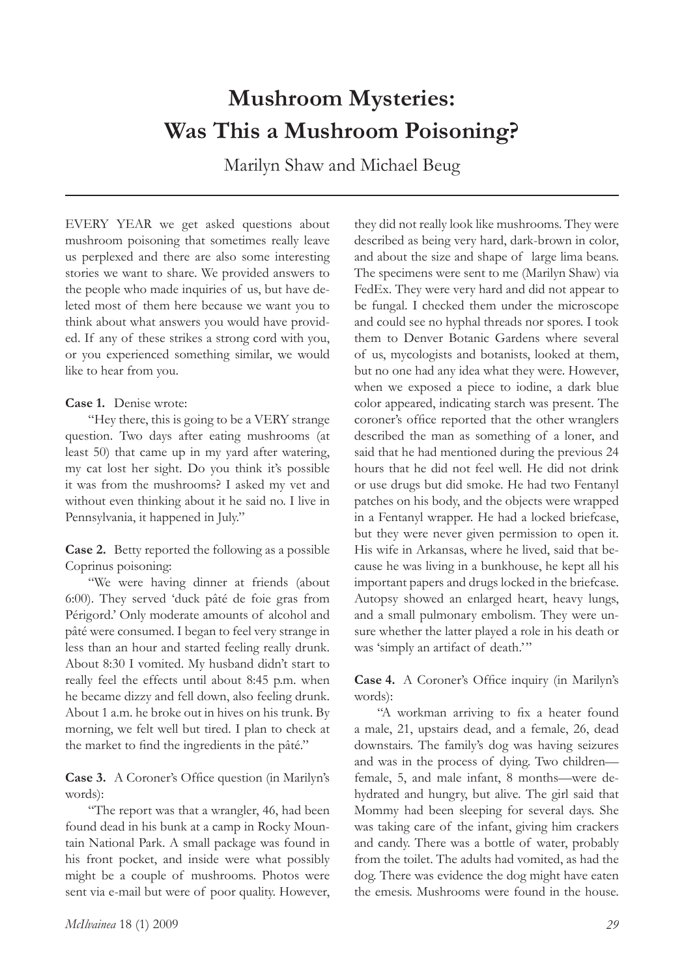# **Mushroom Mysteries: Was This a Mushroom Poisoning?**

Marilyn Shaw and Michael Beug

EVERY YEAR we get asked questions about mushroom poisoning that sometimes really leave us perplexed and there are also some interesting stories we want to share. We provided answers to the people who made inquiries of us, but have deleted most of them here because we want you to think about what answers you would have provided. If any of these strikes a strong cord with you, or you experienced something similar, we would like to hear from you.

### **Case 1.** Denise wrote:

"Hey there, this is going to be a VERY strange question. Two days after eating mushrooms (at least 50) that came up in my yard after watering, my cat lost her sight. Do you think it's possible it was from the mushrooms? I asked my vet and without even thinking about it he said no. I live in Pennsylvania, it happened in July."

**Case 2.** Betty reported the following as a possible Coprinus poisoning:

"We were having dinner at friends (about 6:00). They served 'duck pâté de foie gras from Périgord.' Only moderate amounts of alcohol and pâté were consumed. I began to feel very strange in less than an hour and started feeling really drunk. About 8:30 I vomited. My husband didn't start to really feel the effects until about 8:45 p.m. when he became dizzy and fell down, also feeling drunk. About 1 a.m. he broke out in hives on his trunk. By morning, we felt well but tired. I plan to check at the market to find the ingredients in the pâté."

**Case 3.** A Coroner's Office question (in Marilyn's words):

"The report was that a wrangler, 46, had been found dead in his bunk at a camp in Rocky Mountain National Park. A small package was found in his front pocket, and inside were what possibly might be a couple of mushrooms. Photos were sent via e-mail but were of poor quality. However,

*McIlvainea* 18 (1) 2009 *29*

they did not really look like mushrooms. They were described as being very hard, dark-brown in color, and about the size and shape of large lima beans. The specimens were sent to me (Marilyn Shaw) via FedEx. They were very hard and did not appear to be fungal. I checked them under the microscope and could see no hyphal threads nor spores. I took them to Denver Botanic Gardens where several of us, mycologists and botanists, looked at them, but no one had any idea what they were. However, when we exposed a piece to iodine, a dark blue color appeared, indicating starch was present. The coroner's office reported that the other wranglers described the man as something of a loner, and said that he had mentioned during the previous 24 hours that he did not feel well. He did not drink or use drugs but did smoke. He had two Fentanyl patches on his body, and the objects were wrapped in a Fentanyl wrapper. He had a locked briefcase, but they were never given permission to open it. His wife in Arkansas, where he lived, said that because he was living in a bunkhouse, he kept all his important papers and drugs locked in the briefcase. Autopsy showed an enlarged heart, heavy lungs, and a small pulmonary embolism. They were unsure whether the latter played a role in his death or was 'simply an artifact of death.'"

**Case 4.** A Coroner's Office inquiry (in Marilyn's words):

"A workman arriving to fix a heater found a male, 21, upstairs dead, and a female, 26, dead downstairs. The family's dog was having seizures and was in the process of dying. Two children female, 5, and male infant, 8 months—were dehydrated and hungry, but alive. The girl said that Mommy had been sleeping for several days. She was taking care of the infant, giving him crackers and candy. There was a bottle of water, probably from the toilet. The adults had vomited, as had the dog. There was evidence the dog might have eaten the emesis. Mushrooms were found in the house.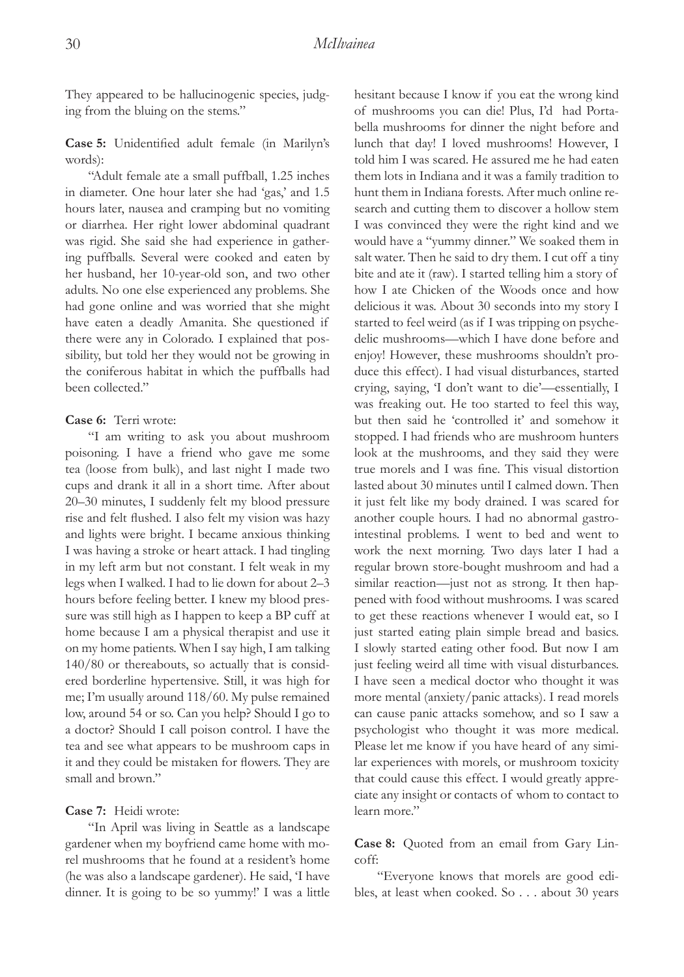They appeared to be hallucinogenic species, judging from the bluing on the stems."

**Case 5:** Unidentified adult female (in Marilyn's words):

"Adult female ate a small puffball, 1.25 inches in diameter. One hour later she had 'gas,' and 1.5 hours later, nausea and cramping but no vomiting or diarrhea. Her right lower abdominal quadrant was rigid. She said she had experience in gathering puffballs. Several were cooked and eaten by her husband, her 10-year-old son, and two other adults. No one else experienced any problems. She had gone online and was worried that she might have eaten a deadly Amanita. She questioned if there were any in Colorado. I explained that possibility, but told her they would not be growing in the coniferous habitat in which the puffballs had been collected."

#### **Case 6:** Terri wrote:

"I am writing to ask you about mushroom poisoning. I have a friend who gave me some tea (loose from bulk), and last night I made two cups and drank it all in a short time. After about 20–30 minutes, I suddenly felt my blood pressure rise and felt flushed. I also felt my vision was hazy and lights were bright. I became anxious thinking I was having a stroke or heart attack. I had tingling in my left arm but not constant. I felt weak in my legs when I walked. I had to lie down for about 2–3 hours before feeling better. I knew my blood pressure was still high as I happen to keep a BP cuff at home because I am a physical therapist and use it on my home patients. When I say high, I am talking 140/80 or thereabouts, so actually that is considered borderline hypertensive. Still, it was high for me; I'm usually around 118/60. My pulse remained low, around 54 or so. Can you help? Should I go to a doctor? Should I call poison control. I have the tea and see what appears to be mushroom caps in it and they could be mistaken for flowers. They are small and brown."

#### **Case 7:** Heidi wrote:

"In April was living in Seattle as a landscape gardener when my boyfriend came home with morel mushrooms that he found at a resident's home (he was also a landscape gardener). He said, 'I have dinner. It is going to be so yummy!' I was a little hesitant because I know if you eat the wrong kind of mushrooms you can die! Plus, I'd had Portabella mushrooms for dinner the night before and lunch that day! I loved mushrooms! However, I told him I was scared. He assured me he had eaten them lots in Indiana and it was a family tradition to hunt them in Indiana forests. After much online research and cutting them to discover a hollow stem I was convinced they were the right kind and we would have a "yummy dinner." We soaked them in salt water. Then he said to dry them. I cut off a tiny bite and ate it (raw). I started telling him a story of how I ate Chicken of the Woods once and how delicious it was. About 30 seconds into my story I started to feel weird (as if I was tripping on psychedelic mushrooms—which I have done before and enjoy! However, these mushrooms shouldn't produce this effect). I had visual disturbances, started crying, saying, 'I don't want to die'—essentially, I was freaking out. He too started to feel this way, but then said he 'controlled it' and somehow it stopped. I had friends who are mushroom hunters look at the mushrooms, and they said they were true morels and I was fine. This visual distortion lasted about 30 minutes until I calmed down. Then it just felt like my body drained. I was scared for another couple hours. I had no abnormal gastrointestinal problems. I went to bed and went to work the next morning. Two days later I had a regular brown store-bought mushroom and had a similar reaction—just not as strong. It then happened with food without mushrooms. I was scared to get these reactions whenever I would eat, so I just started eating plain simple bread and basics. I slowly started eating other food. But now I am just feeling weird all time with visual disturbances. I have seen a medical doctor who thought it was more mental (anxiety/panic attacks). I read morels can cause panic attacks somehow, and so I saw a psychologist who thought it was more medical. Please let me know if you have heard of any similar experiences with morels, or mushroom toxicity that could cause this effect. I would greatly appreciate any insight or contacts of whom to contact to learn more."

**Case 8:** Quoted from an email from Gary Lincoff:

"Everyone knows that morels are good edibles, at least when cooked. So . . . about 30 years